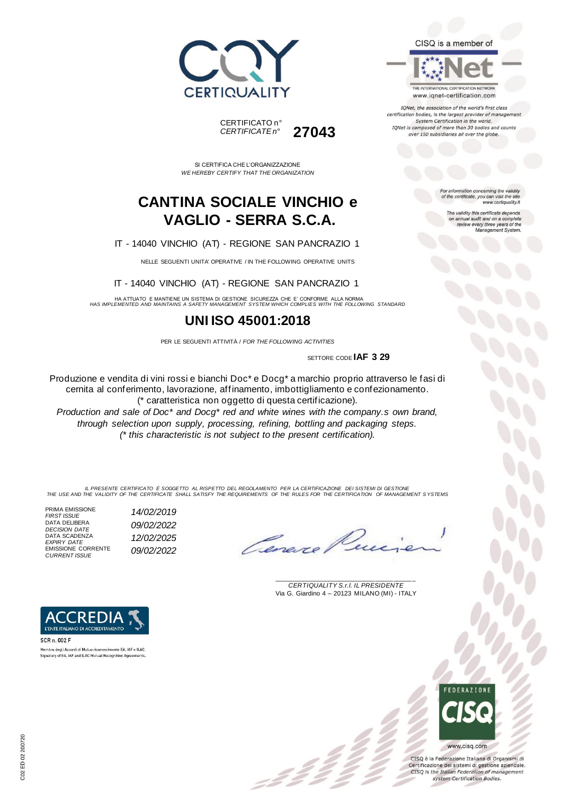



THE INTERNATIONAL CERTIFICATION NETWORK www.iqnet-certification.com

CISQ is a member of

IQNet, the association of the world's first class certification bodies, is the largest provider of managemen System Certification in the world. IQNet is composed of more than 30 bodies and counts over 150 subsidiaries all over the globe.

> For information concerning the validity<br>of the certificate, you can visit the site www.certiquality.it

> > The validity this certificate depends on annual audit and on a complete<br>review every three years of the<br>Management System.

CERTIFICATO n° *CERTIFICATE n°* **27043**

SI CERTIFICA CHE L'ORGANIZZAZIONE *WE HEREBY CERTIFY THAT THE ORGANIZATION*

## **CANTINA SOCIALE VINCHIO e VAGLIO - SERRA S.C.A.**

IT - 14040 VINCHIO (AT) - REGIONE SAN PANCRAZIO 1

NELLE SEGUENTI UNITA' OPERATIVE / IN THE FOLLOWING OPERATIVE UNITS

IT - 14040 VINCHIO (AT) - REGIONE SAN PANCRAZIO 1

HA ATTUATO E MANTIENE UN SISTEMA DI GESTIONE SICUREZZA CHE E' CONFORME ALLA NORMA *HAS IMPLEMENTED AND MAINTAINS A SAFETY MANAGEMENT SYSTEM WHICH COMPLIES WITH THE FOLLOWING STANDARD*

### **UNI ISO 45001:2018**

PER LE SEGUENTI ATTIVITÀ / *FOR THE FOLLOWING ACTIVITIES*

SETTORE CODE **IAF 3 29**

Produzione e vendita di vini rossi e bianchi Doc\* e Docg\* a marchio proprio attraverso le fasi di cernita al conferimento, lavorazione, affinamento, imbottigliamento e confezionamento. (\* caratteristica non oggetto di questa certificazione). *Production and sale of Doc\* and Docg\* red and white wines with the company.s own brand,* 

*through selection upon supply, processing, refining, bottling and packaging steps. (\* this characteristic is not subject to the present certification).*

IL PRESENTE CERTIFICATO E SOGGETTO AL RISPETTO DEL REGOLAMENTO PER LA CERTIFICAZIONE DEI SISTEMI DI GESTIONE<br>THE USE AND THE VALIDITY OF THE CERTIFICATE SHALL SATISFY THE REQUIREMENTS OF THE RULES FOR THE CERTIFICATION OF

PRIMA EMISSIONE<br>FIRST ISSUE *FIRST ISSUE 14/02/2019* DATA DELIBERA *DECISION DATE 09/02/2022* DATA SCADENZA<br>EXPIRY DATE *EXPIRY DATE 12/02/2025* EMISSIONE CORRENTE *CURRENT ISSUE 09/02/2022*

\_\_\_\_\_\_\_\_\_\_\_\_\_\_\_\_\_\_\_\_\_\_\_\_\_\_\_\_\_\_\_\_\_\_\_\_\_\_\_ *CERTIQUALITY S.r.l. IL PRESIDENTE* Via G. Giardino 4 – 20123 MILANO (MI) - ITALY



CISQ è la Federazione Italiana di Organismi di Certificazione dei sistemi di gestione aziendale. CISQ is the Italian Federation of management system Certification Bodies.



SCR n. 002 F

Membro degli Accordi di Mutuo riconoscimento EA, IAF e ILAC Signatory of EA, IAF and ILAC Mutual Recognition Agreements.